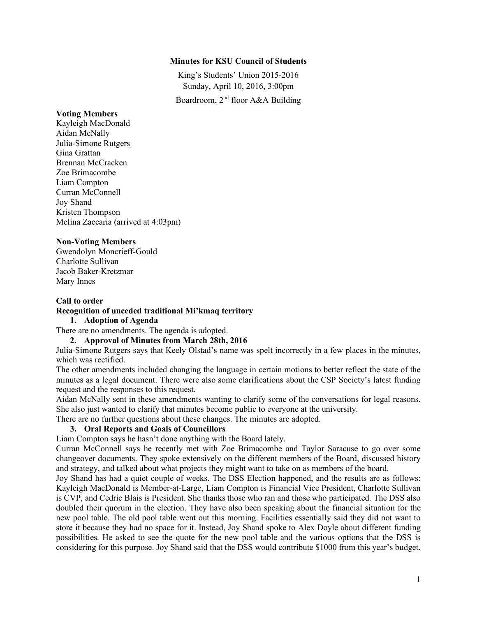#### **Minutes for KSU Council of Students**

King's Students' Union 2015-2016 Sunday, April 10, 2016, 3:00pm Boardroom,  $2<sup>nd</sup>$  floor A&A Building

#### **Voting Members**

Kayleigh MacDonald Aidan McNally Julia-Simone Rutgers Gina Grattan Brennan McCracken Zoe Brimacombe Liam Compton Curran McConnell Joy Shand Kristen Thompson Melina Zaccaria (arrived at 4:03pm)

#### **Non-Voting Members**

Gwendolyn Moncrieff-Gould Charlotte Sullivan Jacob Baker-Kretzmar Mary Innes

## **Call to order Recognition of unceded traditional Mi'kmaq territory**

## **1. Adoption of Agenda**

There are no amendments. The agenda is adopted.

#### **2. Approval of Minutes from March 28th, 2016**

Julia-Simone Rutgers says that Keely Olstad's name was spelt incorrectly in a few places in the minutes, which was rectified.

The other amendments included changing the language in certain motions to better reflect the state of the minutes as a legal document. There were also some clarifications about the CSP Society's latest funding request and the responses to this request.

Aidan McNally sent in these amendments wanting to clarify some of the conversations for legal reasons. She also just wanted to clarify that minutes become public to everyone at the university.

There are no further questions about these changes. The minutes are adopted.

## **3. Oral Reports and Goals of Councillors**

Liam Compton says he hasn't done anything with the Board lately.

Curran McConnell says he recently met with Zoe Brimacombe and Taylor Saracuse to go over some changeover documents. They spoke extensively on the different members of the Board, discussed history and strategy, and talked about what projects they might want to take on as members of the board.

Joy Shand has had a quiet couple of weeks. The DSS Election happened, and the results are as follows: Kayleigh MacDonald is Member-at-Large, Liam Compton is Financial Vice President, Charlotte Sullivan is CVP, and Cedric Blais is President. She thanks those who ran and those who participated. The DSS also doubled their quorum in the election. They have also been speaking about the financial situation for the new pool table. The old pool table went out this morning. Facilities essentially said they did not want to store it because they had no space for it. Instead, Joy Shand spoke to Alex Doyle about different funding possibilities. He asked to see the quote for the new pool table and the various options that the DSS is considering for this purpose. Joy Shand said that the DSS would contribute \$1000 from this year's budget.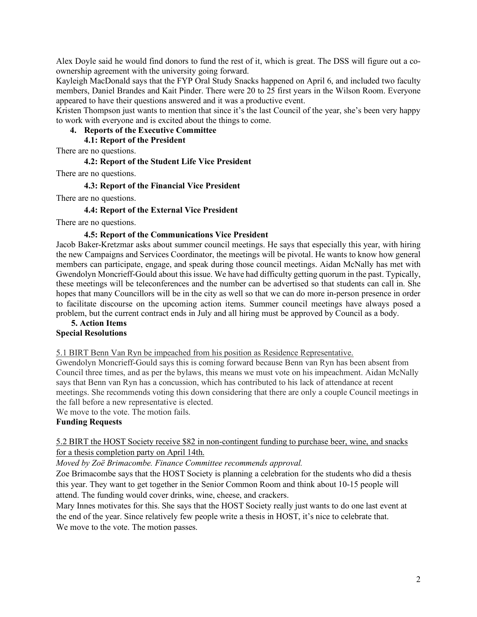Alex Doyle said he would find donors to fund the rest of it, which is great. The DSS will figure out a coownership agreement with the university going forward.

Kayleigh MacDonald says that the FYP Oral Study Snacks happened on April 6, and included two faculty members, Daniel Brandes and Kait Pinder. There were 20 to 25 first years in the Wilson Room. Everyone appeared to have their questions answered and it was a productive event.

Kristen Thompson just wants to mention that since it's the last Council of the year, she's been very happy to work with everyone and is excited about the things to come.

#### **4. Reports of the Executive Committee**

**4.1: Report of the President** 

There are no questions.

#### **4.2: Report of the Student Life Vice President**

There are no questions.

## **4.3: Report of the Financial Vice President**

There are no questions.

#### **4.4: Report of the External Vice President**

There are no questions.

#### **4.5: Report of the Communications Vice President**

Jacob Baker-Kretzmar asks about summer council meetings. He says that especially this year, with hiring the new Campaigns and Services Coordinator, the meetings will be pivotal. He wants to know how general members can participate, engage, and speak during those council meetings. Aidan McNally has met with Gwendolyn Moncrieff-Gould about this issue. We have had difficulty getting quorum in the past. Typically, these meetings will be teleconferences and the number can be advertised so that students can call in. She hopes that many Councillors will be in the city as well so that we can do more in-person presence in order to facilitate discourse on the upcoming action items. Summer council meetings have always posed a problem, but the current contract ends in July and all hiring must be approved by Council as a body.

#### **5. Action Items Special Resolutions**

5.1 BIRT Benn Van Ryn be impeached from his position as Residence Representative.

Gwendolyn Moncrieff-Gould says this is coming forward because Benn van Ryn has been absent from Council three times, and as per the bylaws, this means we must vote on his impeachment. Aidan McNally says that Benn van Ryn has a concussion, which has contributed to his lack of attendance at recent meetings. She recommends voting this down considering that there are only a couple Council meetings in the fall before a new representative is elected.

We move to the vote. The motion fails.

## **Funding Requests**

## 5.2 BIRT the HOST Society receive \$82 in non-contingent funding to purchase beer, wine, and snacks for a thesis completion party on April 14th.

*Moved by Zoë Brimacombe. Finance Committee recommends approval.*

Zoe Brimacombe says that the HOST Society is planning a celebration for the students who did a thesis this year. They want to get together in the Senior Common Room and think about 10-15 people will attend. The funding would cover drinks, wine, cheese, and crackers.

Mary Innes motivates for this. She says that the HOST Society really just wants to do one last event at the end of the year. Since relatively few people write a thesis in HOST, it's nice to celebrate that. We move to the vote. The motion passes.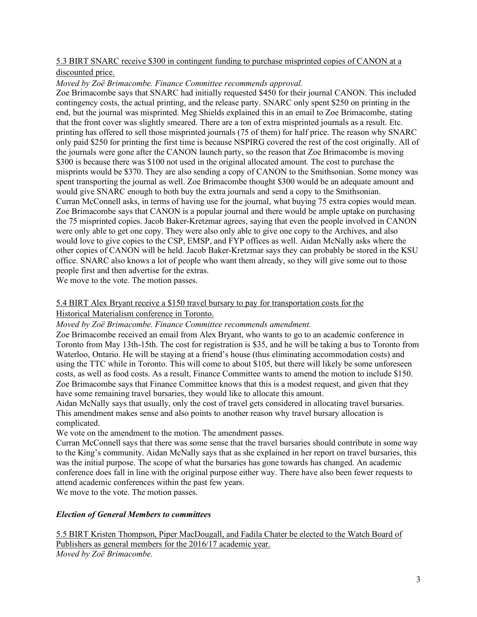## 5.3 BIRT SNARC receive \$300 in contingent funding to purchase misprinted copies of CANON at a discounted price.

#### *Moved by Zoë Brimacombe. Finance Committee recommends approval.*

Zoe Brimacombe says that SNARC had initially requested \$450 for their journal CANON. This included contingency costs, the actual printing, and the release party. SNARC only spent \$250 on printing in the end, but the journal was misprinted. Meg Shields explained this in an email to Zoe Brimacombe, stating that the front cover was slightly smeared. There are a ton of extra misprinted journals as a result. Etc. printing has offered to sell those misprinted journals (75 of them) for half price. The reason why SNARC only paid \$250 for printing the first time is because NSPIRG covered the rest of the cost originally. All of the journals were gone after the CANON launch party, so the reason that Zoe Brimacombe is moving \$300 is because there was \$100 not used in the original allocated amount. The cost to purchase the misprints would be \$370. They are also sending a copy of CANON to the Smithsonian. Some money was spent transporting the journal as well. Zoe Brimacombe thought \$300 would be an adequate amount and would give SNARC enough to both buy the extra journals and send a copy to the Smithsonian. Curran McConnell asks, in terms of having use for the journal, what buying 75 extra copies would mean. Zoe Brimacombe says that CANON is a popular journal and there would be ample uptake on purchasing the 75 misprinted copies. Jacob Baker-Kretzmar agrees, saying that even the people involved in CANON were only able to get one copy. They were also only able to give one copy to the Archives, and also would love to give copies to the CSP, EMSP, and FYP offices as well. Aidan McNally asks where the other copies of CANON will be held. Jacob Baker-Kretzmar says they can probably be stored in the KSU office. SNARC also knows a lot of people who want them already, so they will give some out to those people first and then advertise for the extras.

We move to the vote. The motion passes.

## 5.4 BIRT Alex Bryant receive a \$150 travel bursary to pay for transportation costs for the

## Historical Materialism conference in Toronto.

*Moved by Zoë Brimacombe. Finance Committee recommends amendment.*

Zoe Brimacombe received an email from Alex Bryant, who wants to go to an academic conference in Toronto from May 13th-15th. The cost for registration is \$35, and he will be taking a bus to Toronto from Waterloo, Ontario. He will be staying at a friend's house (thus eliminating accommodation costs) and using the TTC while in Toronto. This will come to about \$105, but there will likely be some unforeseen costs, as well as food costs. As a result, Finance Committee wants to amend the motion to include \$150. Zoe Brimacombe says that Finance Committee knows that this is a modest request, and given that they have some remaining travel bursaries, they would like to allocate this amount.

Aidan McNally says that usually, only the cost of travel gets considered in allocating travel bursaries. This amendment makes sense and also points to another reason why travel bursary allocation is complicated.

We vote on the amendment to the motion. The amendment passes.

Curran McConnell says that there was some sense that the travel bursaries should contribute in some way to the King's community. Aidan McNally says that as she explained in her report on travel bursaries, this was the initial purpose. The scope of what the bursaries has gone towards has changed. An academic conference does fall in line with the original purpose either way. There have also been fewer requests to attend academic conferences within the past few years.

We move to the vote. The motion passes.

## *Election of General Members to committees*

5.5 BIRT Kristen Thompson, Piper MacDougall, and Fadila Chater be elected to the Watch Board of Publishers as general members for the 2016/17 academic year. *Moved by Zoë Brimacombe.*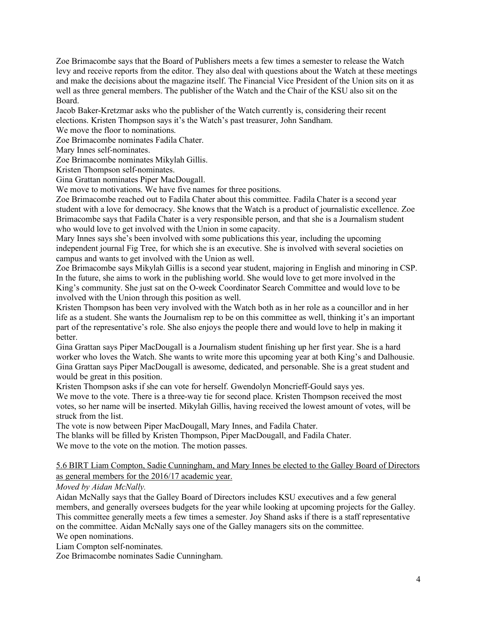Zoe Brimacombe says that the Board of Publishers meets a few times a semester to release the Watch levy and receive reports from the editor. They also deal with questions about the Watch at these meetings and make the decisions about the magazine itself. The Financial Vice President of the Union sits on it as well as three general members. The publisher of the Watch and the Chair of the KSU also sit on the Board.

Jacob Baker-Kretzmar asks who the publisher of the Watch currently is, considering their recent elections. Kristen Thompson says it's the Watch's past treasurer, John Sandham.

We move the floor to nominations.

Zoe Brimacombe nominates Fadila Chater.

Mary Innes self-nominates.

Zoe Brimacombe nominates Mikylah Gillis.

Kristen Thompson self-nominates.

Gina Grattan nominates Piper MacDougall.

We move to motivations. We have five names for three positions.

Zoe Brimacombe reached out to Fadila Chater about this committee. Fadila Chater is a second year student with a love for democracy. She knows that the Watch is a product of journalistic excellence. Zoe Brimacombe says that Fadila Chater is a very responsible person, and that she is a Journalism student who would love to get involved with the Union in some capacity.

Mary Innes says she's been involved with some publications this year, including the upcoming independent journal Fig Tree, for which she is an executive. She is involved with several societies on campus and wants to get involved with the Union as well.

Zoe Brimacombe says Mikylah Gillis is a second year student, majoring in English and minoring in CSP. In the future, she aims to work in the publishing world. She would love to get more involved in the King's community. She just sat on the O-week Coordinator Search Committee and would love to be involved with the Union through this position as well.

Kristen Thompson has been very involved with the Watch both as in her role as a councillor and in her life as a student. She wants the Journalism rep to be on this committee as well, thinking it's an important part of the representative's role. She also enjoys the people there and would love to help in making it better.

Gina Grattan says Piper MacDougall is a Journalism student finishing up her first year. She is a hard worker who loves the Watch. She wants to write more this upcoming year at both King's and Dalhousie. Gina Grattan says Piper MacDougall is awesome, dedicated, and personable. She is a great student and would be great in this position.

Kristen Thompson asks if she can vote for herself. Gwendolyn Moncrieff-Gould says yes.

We move to the vote. There is a three-way tie for second place. Kristen Thompson received the most votes, so her name will be inserted. Mikylah Gillis, having received the lowest amount of votes, will be struck from the list.

The vote is now between Piper MacDougall, Mary Innes, and Fadila Chater.

The blanks will be filled by Kristen Thompson, Piper MacDougall, and Fadila Chater.

We move to the vote on the motion. The motion passes.

#### 5.6 BIRT Liam Compton, Sadie Cunningham, and Mary Innes be elected to the Galley Board of Directors as general members for the 2016/17 academic year.

*Moved by Aidan McNally.*

Aidan McNally says that the Galley Board of Directors includes KSU executives and a few general members, and generally oversees budgets for the year while looking at upcoming projects for the Galley. This committee generally meets a few times a semester. Joy Shand asks if there is a staff representative on the committee. Aidan McNally says one of the Galley managers sits on the committee. We open nominations.

Liam Compton self-nominates.

Zoe Brimacombe nominates Sadie Cunningham.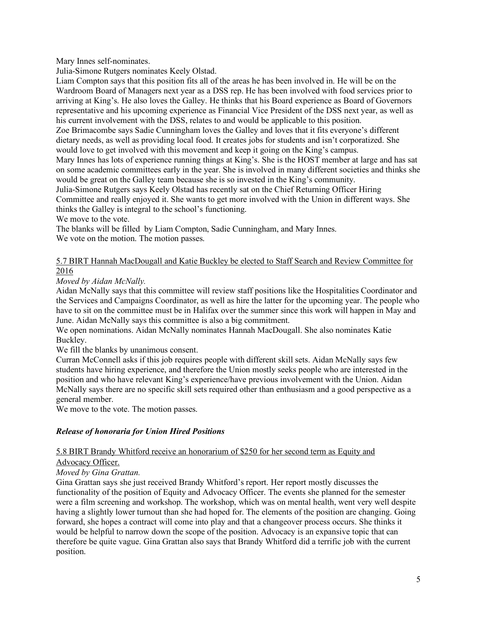Mary Innes self-nominates.

Julia-Simone Rutgers nominates Keely Olstad.

Liam Compton says that this position fits all of the areas he has been involved in. He will be on the Wardroom Board of Managers next year as a DSS rep. He has been involved with food services prior to arriving at King's. He also loves the Galley. He thinks that his Board experience as Board of Governors representative and his upcoming experience as Financial Vice President of the DSS next year, as well as his current involvement with the DSS, relates to and would be applicable to this position.

Zoe Brimacombe says Sadie Cunningham loves the Galley and loves that it fits everyone's different dietary needs, as well as providing local food. It creates jobs for students and isn't corporatized. She would love to get involved with this movement and keep it going on the King's campus.

Mary Innes has lots of experience running things at King's. She is the HOST member at large and has sat on some academic committees early in the year. She is involved in many different societies and thinks she would be great on the Galley team because she is so invested in the King's community.

Julia-Simone Rutgers says Keely Olstad has recently sat on the Chief Returning Officer Hiring Committee and really enjoyed it. She wants to get more involved with the Union in different ways. She thinks the Galley is integral to the school's functioning.

We move to the vote.

The blanks will be filled by Liam Compton, Sadie Cunningham, and Mary Innes. We vote on the motion. The motion passes.

### 5.7 BIRT Hannah MacDougall and Katie Buckley be elected to Staff Search and Review Committee for 2016

*Moved by Aidan McNally.*

Aidan McNally says that this committee will review staff positions like the Hospitalities Coordinator and the Services and Campaigns Coordinator, as well as hire the latter for the upcoming year. The people who have to sit on the committee must be in Halifax over the summer since this work will happen in May and June. Aidan McNally says this committee is also a big commitment.

We open nominations. Aidan McNally nominates Hannah MacDougall. She also nominates Katie Buckley.

We fill the blanks by unanimous consent.

Curran McConnell asks if this job requires people with different skill sets. Aidan McNally says few students have hiring experience, and therefore the Union mostly seeks people who are interested in the position and who have relevant King's experience/have previous involvement with the Union. Aidan McNally says there are no specific skill sets required other than enthusiasm and a good perspective as a general member.

We move to the vote. The motion passes.

## *Release of honoraria for Union Hired Positions*

#### 5.8 BIRT Brandy Whitford receive an honorarium of \$250 for her second term as Equity and

## Advocacy Officer.

*Moved by Gina Grattan.*

Gina Grattan says she just received Brandy Whitford's report. Her report mostly discusses the functionality of the position of Equity and Advocacy Officer. The events she planned for the semester were a film screening and workshop. The workshop, which was on mental health, went very well despite having a slightly lower turnout than she had hoped for. The elements of the position are changing. Going forward, she hopes a contract will come into play and that a changeover process occurs. She thinks it would be helpful to narrow down the scope of the position. Advocacy is an expansive topic that can therefore be quite vague. Gina Grattan also says that Brandy Whitford did a terrific job with the current position.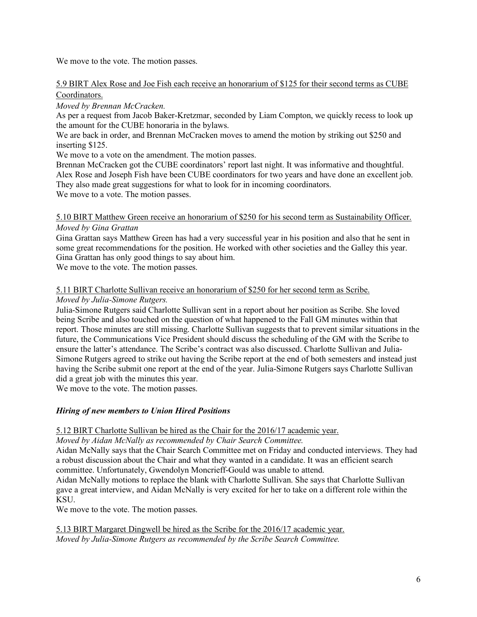We move to the vote. The motion passes.

#### 5.9 BIRT Alex Rose and Joe Fish each receive an honorarium of \$125 for their second terms as CUBE Coordinators.

### *Moved by Brennan McCracken.*

As per a request from Jacob Baker-Kretzmar, seconded by Liam Compton, we quickly recess to look up the amount for the CUBE honoraria in the bylaws.

We are back in order, and Brennan McCracken moves to amend the motion by striking out \$250 and inserting \$125.

We move to a vote on the amendment. The motion passes.

Brennan McCracken got the CUBE coordinators' report last night. It was informative and thoughtful. Alex Rose and Joseph Fish have been CUBE coordinators for two years and have done an excellent job. They also made great suggestions for what to look for in incoming coordinators. We move to a vote. The motion passes.

5.10 BIRT Matthew Green receive an honorarium of \$250 for his second term as Sustainability Officer. *Moved by Gina Grattan*

Gina Grattan says Matthew Green has had a very successful year in his position and also that he sent in some great recommendations for the position. He worked with other societies and the Galley this year. Gina Grattan has only good things to say about him.

We move to the vote. The motion passes.

# 5.11 BIRT Charlotte Sullivan receive an honorarium of \$250 for her second term as Scribe.

#### *Moved by Julia-Simone Rutgers.*

Julia-Simone Rutgers said Charlotte Sullivan sent in a report about her position as Scribe. She loved being Scribe and also touched on the question of what happened to the Fall GM minutes within that report. Those minutes are still missing. Charlotte Sullivan suggests that to prevent similar situations in the future, the Communications Vice President should discuss the scheduling of the GM with the Scribe to ensure the latter's attendance. The Scribe's contract was also discussed. Charlotte Sullivan and Julia-Simone Rutgers agreed to strike out having the Scribe report at the end of both semesters and instead just having the Scribe submit one report at the end of the year. Julia-Simone Rutgers says Charlotte Sullivan did a great job with the minutes this year.

We move to the vote. The motion passes.

## *Hiring of new members to Union Hired Positions*

5.12 BIRT Charlotte Sullivan be hired as the Chair for the 2016/17 academic year.

*Moved by Aidan McNally as recommended by Chair Search Committee.*

Aidan McNally says that the Chair Search Committee met on Friday and conducted interviews. They had a robust discussion about the Chair and what they wanted in a candidate. It was an efficient search committee. Unfortunately, Gwendolyn Moncrieff-Gould was unable to attend.

Aidan McNally motions to replace the blank with Charlotte Sullivan. She says that Charlotte Sullivan gave a great interview, and Aidan McNally is very excited for her to take on a different role within the KSU.

We move to the vote. The motion passes.

5.13 BIRT Margaret Dingwell be hired as the Scribe for the 2016/17 academic year. *Moved by Julia-Simone Rutgers as recommended by the Scribe Search Committee.*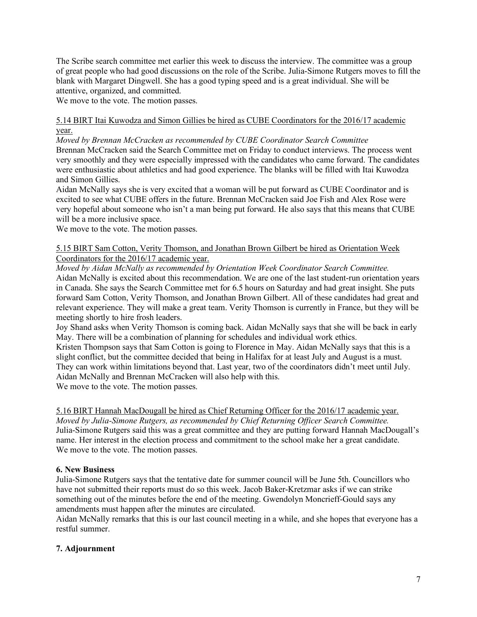The Scribe search committee met earlier this week to discuss the interview. The committee was a group of great people who had good discussions on the role of the Scribe. Julia-Simone Rutgers moves to fill the blank with Margaret Dingwell. She has a good typing speed and is a great individual. She will be attentive, organized, and committed.

We move to the vote. The motion passes.

#### 5.14 BIRT Itai Kuwodza and Simon Gillies be hired as CUBE Coordinators for the 2016/17 academic year.

*Moved by Brennan McCracken as recommended by CUBE Coordinator Search Committee* Brennan McCracken said the Search Committee met on Friday to conduct interviews. The process went very smoothly and they were especially impressed with the candidates who came forward. The candidates were enthusiastic about athletics and had good experience. The blanks will be filled with Itai Kuwodza and Simon Gillies.

Aidan McNally says she is very excited that a woman will be put forward as CUBE Coordinator and is excited to see what CUBE offers in the future. Brennan McCracken said Joe Fish and Alex Rose were very hopeful about someone who isn't a man being put forward. He also says that this means that CUBE will be a more inclusive space.

We move to the vote. The motion passes.

#### 5.15 BIRT Sam Cotton, Verity Thomson, and Jonathan Brown Gilbert be hired as Orientation Week Coordinators for the 2016/17 academic year.

*Moved by Aidan McNally as recommended by Orientation Week Coordinator Search Committee.* Aidan McNally is excited about this recommendation. We are one of the last student-run orientation years in Canada. She says the Search Committee met for 6.5 hours on Saturday and had great insight. She puts forward Sam Cotton, Verity Thomson, and Jonathan Brown Gilbert. All of these candidates had great and relevant experience. They will make a great team. Verity Thomson is currently in France, but they will be meeting shortly to hire frosh leaders.

Joy Shand asks when Verity Thomson is coming back. Aidan McNally says that she will be back in early May. There will be a combination of planning for schedules and individual work ethics.

Kristen Thompson says that Sam Cotton is going to Florence in May. Aidan McNally says that this is a slight conflict, but the committee decided that being in Halifax for at least July and August is a must. They can work within limitations beyond that. Last year, two of the coordinators didn't meet until July. Aidan McNally and Brennan McCracken will also help with this. We move to the vote. The motion passes.

## 5.16 BIRT Hannah MacDougall be hired as Chief Returning Officer for the 2016/17 academic year.

*Moved by Julia-Simone Rutgers, as recommended by Chief Returning Officer Search Committee.* Julia-Simone Rutgers said this was a great committee and they are putting forward Hannah MacDougall's name. Her interest in the election process and commitment to the school make her a great candidate. We move to the vote. The motion passes.

## **6. New Business**

Julia-Simone Rutgers says that the tentative date for summer council will be June 5th. Councillors who have not submitted their reports must do so this week. Jacob Baker-Kretzmar asks if we can strike something out of the minutes before the end of the meeting. Gwendolyn Moncrieff-Gould says any amendments must happen after the minutes are circulated.

Aidan McNally remarks that this is our last council meeting in a while, and she hopes that everyone has a restful summer.

## **7. Adjournment**